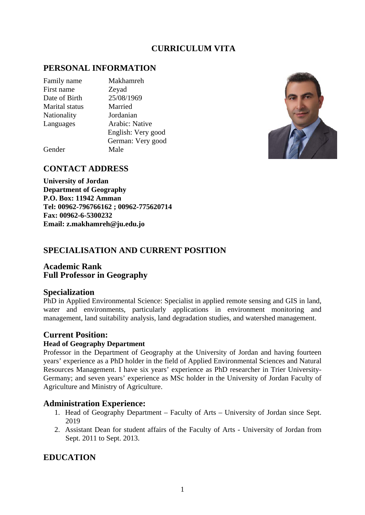# **CURRICULUM VITA**

# **PERSONAL INFORMATION**

Family name Makhamreh First name Zeyad Date of Birth 25/08/1969 Marital status Married Nationality Jordanian

Languages Arabic: Native English: Very good German: Very good



Gender Male

## **CONTACT ADDRESS**

**University of Jordan Department of Geography P.O. Box: 11942 Amman Tel: 00962-796766162 ; 00962-775620714 Fax: 00962-6-5300232 Email: z.makhamreh@ju.edu.jo**

# **SPECIALISATION AND CURRENT POSITION**

### **Academic Rank Full Professor in Geography**

### **Specialization**

PhD in Applied Environmental Science: Specialist in applied remote sensing and GIS in land, water and environments, particularly applications in environment monitoring and management, land suitability analysis, land degradation studies, and watershed management.

## **Current Position:**

### **Head of Geography Department**

Professor in the Department of Geography at the University of Jordan and having fourteen years' experience as a PhD holder in the field of Applied Environmental Sciences and Natural Resources Management. I have six years' experience as PhD researcher in Trier University-Germany; and seven years' experience as MSc holder in the University of Jordan Faculty of Agriculture and Ministry of Agriculture.

## **Administration Experience:**

- 1. Head of Geography Department Faculty of Arts University of Jordan since Sept. 2019
- 2. Assistant Dean for student affairs of the Faculty of Arts University of Jordan from Sept. 2011 to Sept. 2013.

# **EDUCATION**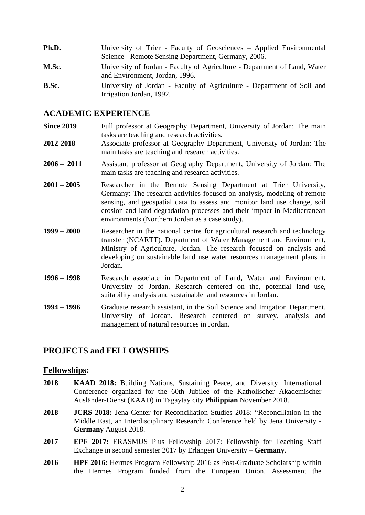| Ph.D. | University of Trier - Faculty of Geosciences – Applied Environmental<br>Science - Remote Sensing Department, Germany, 2006. |
|-------|-----------------------------------------------------------------------------------------------------------------------------|
| M.Sc. | University of Jordan - Faculty of Agriculture - Department of Land, Water<br>and Environment, Jordan, 1996.                 |
| B.Sc. | University of Jordan - Faculty of Agriculture - Department of Soil and<br>Irrigation Jordan, 1992.                          |

### **ACADEMIC EXPERIENCE**

- **Since 2019** Full professor at Geography Department, University of Jordan: The main tasks are teaching and research activities.
- **2012-2018** Associate professor at Geography Department, University of Jordan: The main tasks are teaching and research activities.
- **2006 – 2011** Assistant professor at Geography Department, University of Jordan: The main tasks are teaching and research activities.
- **2001 – 2005** Researcher in the Remote Sensing Department at Trier University, Germany: The research activities focused on analysis, modeling of remote sensing, and geospatial data to assess and monitor land use change, soil erosion and land degradation processes and their impact in Mediterranean environments (Northern Jordan as a case study).
- **1999 – 2000** Researcher in the national centre for agricultural research and technology transfer (NCARTT). Department of Water Management and Environment, Ministry of Agriculture, Jordan. The research focused on analysis and developing on sustainable land use water resources management plans in Jordan.
- **1996 – 1998** Research associate in Department of Land, Water and Environment, University of Jordan. Research centered on the, potential land use, suitability analysis and sustainable land resources in Jordan.
- **1994 – 1996** Graduate research assistant, in the Soil Science and Irrigation Department, University of Jordan. Research centered on survey, analysis and management of natural resources in Jordan.

## **PROJECTS and FELLOWSHIPS**

#### **Fellowships:**

- **2018 KAAD 2018:** Building Nations, Sustaining Peace, and Diversity: International Conference organized for the 60th Jubilee of the Katholischer Akademischer Ausländer-Dienst (KAAD) in Tagaytay city **Philippian** November 2018.
- **2018 JCRS 2018:** Jena Center for Reconciliation Studies 2018: "Reconciliation in the Middle East, an Interdisciplinary Research: Conference held by Jena University - **Germany** August 2018.
- **2017 EPF 2017:** ERASMUS Plus Fellowship 2017: Fellowship for Teaching Staff Exchange in second semester 2017 by Erlangen University – **Germany**.
- **2016 HPF 2016:** Hermes Program Fellowship 2016 as Post-Graduate Scholarship within the Hermes Program funded from the European Union. Assessment the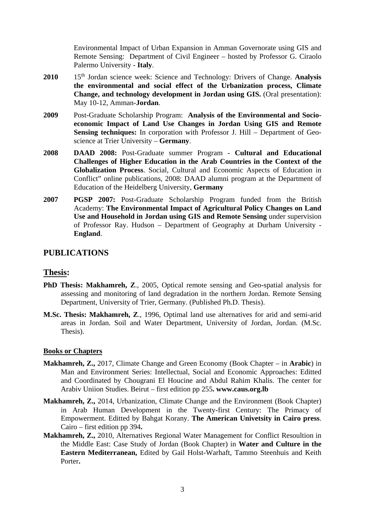Environmental Impact of Urban Expansion in Amman Governorate using GIS and Remote Sensing: Department of Civil Engineer – hosted by Professor G. Ciraolo Palermo University - **Italy**.

- **2010** 15th Jordan science week: Science and Technology: Drivers of Change. **Analysis the environmental and social effect of the Urbanization process, Climate Change, and technology development in Jordan using GIS.** (Oral presentation): May 10-12, Amman-**Jordan**.
- **2009** Post-Graduate Scholarship Program: **Analysis of the Environmental and Socioeconomic Impact of Land Use Changes in Jordan Using GIS and Remote Sensing techniques:** In corporation with Professor J. Hill – Department of Geoscience at Trier University – **Germany**.
- **2008 DAAD 2008:** Post-Graduate summer Program **Cultural and Educational Challenges of Higher Education in the Arab Countries in the Context of the Globalization Process**. Social, Cultural and Economic Aspects of Education in Conflict" online publications, 2008: DAAD alumni program at the Department of Education of the Heidelberg University, **Germany**
- **2007 PGSP 2007:** Post-Graduate Scholarship Program funded from the British Academy: **The Environmental Impact of Agricultural Policy Changes on Land Use and Household in Jordan using GIS and Remote Sensing** under supervision of Professor Ray. Hudson – Department of Geography at Durham University - **England**.

## **PUBLICATIONS**

### **Thesis:**

- **PhD Thesis: Makhamreh, Z**., 2005, Optical remote sensing and Geo-spatial analysis for assessing and monitoring of land degradation in the northern Jordan. Remote Sensing Department, University of Trier, Germany. (Published Ph.D. Thesis).
- **M.Sc. Thesis: Makhamreh, Z**., 1996, Optimal land use alternatives for arid and semi-arid areas in Jordan. Soil and Water Department, University of Jordan, Jordan. (M.Sc. Thesis).

#### **Books or Chapters**

- **Makhamreh, Z.,** 2017, Climate Change and Green Economy (Book Chapter in **Arabic**) in Man and Environment Series: Intellectual, Social and Economic Approaches: Editted and Coordinated by Chougrani El Houcine and Abdul Rahim Khalis. The center for Arabiv Uniion Studies. Beirut – first edition pp 255**. www.caus.org.lb**
- **Makhamreh, Z.,** 2014, Urbanization, Climate Change and the Environment (Book Chapter) in Arab Human Development in the Twenty-first Century: The Primacy of Empowerment. Editted by Bahgat Korany. **The American Univetsity in Cairo press**. Cairo – first edition pp 394**.**
- **Makhamreh, Z.,** 2010, Alternatives Regional Water Management for Conflict Resoultion in the Middle East: Case Study of Jordan (Book Chapter) in **Water and Culture in the Eastern Mediterranean,** Edited by Gail Holst-Warhaft, Tammo Steenhuis and Keith Porter**.**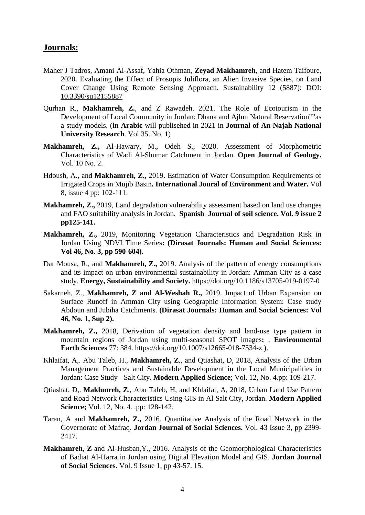### **Journals:**

- Maher J [Tadros,](https://www.researchgate.net/scientific-contributions/2178158136-Maher-J-Tadros) Amani [Al-Assaf,](https://www.researchgate.net/scientific-contributions/2178141903_Amani_Al-Assaf) Yahia [Othman,](https://www.researchgate.net/profile/Yahia_Othman) **Zeyad Makhamreh**, and Hatem [Taifoure,](https://www.researchgate.net/scientific-contributions/2178212912-Hatem-Taifoure) 2020. Evaluating the Effect of Prosopis Juliflora, an Alien Invasive Species, on Land Cover Change Using Remote Sensing Approach. Sustainability 12 (5887): DOI: [10.3390/su12155887](https://www.researchgate.net/deref/http%3A%2F%2Fdx.doi.org%2F10.3390%2Fsu12155887?_sg%5B0%5D=3zp1eiP9MCM0UJRTXouNyxrMaPynONi9KeTHsGhKukVeIuz6GMwI9r_vdQHYp-0R8DxOHEZrR-my_sl4O_vCQz7Oyw.yiMVWHxDL7h6pSqqhqji8kXiiFpxzqMj3r0oD0wKS-TTiBSLAqhJceGb5d9lTG2FH1V1A7DjMyyOzjNOKKFAkA)
- Qurhan R., **Makhamreh, Z.**, and Z Rawadeh. 2021. The Role of Ecotourism in the Development of Local Community in Jordan: Dhana and Ajlun Natural Reservation""as a study models. (**in Arabic** will publisehed in 2021 in **Journal of An-Najah National University Research**. Vol 35. No. 1)
- **Makhamreh, Z.,** Al-Hawary, M., Odeh S., 2020. Assessment of Morphometric Characteristics of Wadi Al-Shumar Catchment in Jordan. **Open Journal of Geology.**  Vol. 10 No. 2.
- Hdoush, A., and **Makhamreh, Z.,** 2019. Estimation of Water Consumption Requirements of Irrigated Crops in Mujib Basin**. International Joural of Environment and Water.** Vol 8, issue 4 pp: 102-111.
- **Makhamreh, Z.,** 2019, Land degradation vulnerability assessment based on land use changes and FAO suitability analysis in Jordan. **Spanish Journal of soil science. Vol. 9 issue 2 pp125-141.**
- **Makhamreh, Z.,** 2019, Monitoring Vegetation Characteristics and Degradation Risk in Jordan Using NDVI Time Series**: (Dirasat Journals: Human and Social Sciences: Vol 46, No. 3, pp 590-604).**
- Dar Mousa, R., and **Makhamreh, Z.,** 2019. Analysis of the pattern of energy consumptions and its impact on urban environmental sustainability in Jordan: Amman City as a case study. **Energy, Sustainability and Society.** https://doi.org/10.1186/s13705-019-0197-0
- Sakarneh, Z., **Makhamreh, Z and Al-Weshah R.,** 2019. Impact of Urban Expansion on Surface Runoff in Amman City using Geographic Information System: Case study Abdoun and Jubiha Catchments. **(Dirasat Journals: Human and Social Sciences: Vol 46, No. 1, Sup 2).**
- **Makhamreh, Z.,** 2018, [Derivation of vegetation density and land-use type pattern in](https://link.springer.com/article/10.1007/s12665-018-7534-z)  [mountain regions of Jordan using multi-seasonal SPOT images](https://link.springer.com/article/10.1007/s12665-018-7534-z)**:** . **Environmental Earth Sciences** 77: 384. https://doi.org/10.1007/s12665-018-7534-z ).
- Khlaifat, A,. Abu Taleb, H., **Makhamreh, Z**., and Qtiashat, D, 2018, Analysis of the Urban Management Practices and Sustainable Development in the Local Municipalities in Jordan: Case Study - Salt City. **Modern Applied Science**; Vol. 12, No. 4.pp: 109-217.
- Qtiashat, D,. **Makhmreh, Z**., Abu Taleb, H, and Khlaifat, A, 2018, Urban Land Use Pattern and Road Network Characteristics Using GIS in Al Salt City, Jordan. **Modern Applied Science;** Vol. 12, No. 4. .pp: 128-142.
- Taran, A and **Makhamreh, Z.,** 2016. Quantitative Analysis of the Road Network in the Governorate of Mafraq. **Jordan Journal of Social Sciences.** Vol. 43 Issue 3, pp 2399- 2417.
- **Makhamreh, Z** and Al-Husban,Y**.,** 2016. Analysis of the Geomorphological Characteristics of Badiat Al-Harra in Jordan using Digital Elevation Model and GIS. **Jordan Journal of Social Sciences.** Vol. 9 Issue 1, pp 43-57. 15.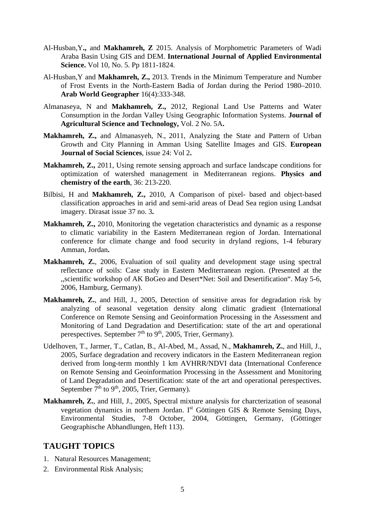- Al-Husban,Y**.,** and **Makhamreh, Z** 2015. [Analysis of Morphometric Parameters of Wadi](http://www.ripublication.com/ijaes3/ijaesv10n5_24.pdf)  [Araba Basin Using GIS and DEM.](http://www.ripublication.com/ijaes3/ijaesv10n5_24.pdf) **International Journal of Applied Environmental Science.** Vol 10, No. 5. Pp 1811-1824.
- Al-Husban,Y and **Makhamreh, Z.,** 2013. Trends in the Minimum Temperature and Number of Frost Events in the North-Eastern Badia of Jordan during the Period 1980–2010. **Arab World Geographer** 16(4):333-348.
- Almanaseya, N and **Makhamreh, Z.,** 2012, Regional Land Use Patterns and Water Consumption in the Jordan Valley Using Geographic Information Systems. **Journal of Agricultural Science and Technology,** Vol. 2 No. 5A**.**
- **Makhamreh, Z.,** and Almanasyeh, N., 2011, Analyzing the State and Pattern of Urban Growth and City Planning in Amman Using Satellite Images and GIS. **European Journal of Social Sciences**, issue 24: Vol 2**.**
- **Makhamreh, Z.,** 2011, Using remote sensing approach and surface landscape conditions for optimization of watershed management in Mediterranean regions. **Physics and chemistry of the earth**, 36: 213-220.
- Bilbisi, H and **Makhamreh, Z.,** 2010, A Comparison of pixel- based and object-based classification approaches in arid and semi-arid areas of Dead Sea region using Landsat imagery. Dirasat issue 37 no. 3**.**
- **Makhamreh, Z.,** 2010, Monitoring the vegetation characteristics and dynamic as a response to climatic variability in the Eastern Mediterranean region of Jordan. International conference for climate change and food security in dryland regions, 1-4 feburary Amman, Jordan**.**
- **Makhamreh, Z.**, 2006, Evaluation of soil quality and development stage using spectral reflectance of soils: Case study in Eastern Mediterranean region. (Presented at the ,,scientific workshop of AK BoGeo and Desert\*Net: Soil and Desertification". May 5-6, 2006, Hamburg, Germany).
- **Makhamreh, Z.**, and Hill, J., 2005, Detection of sensitive areas for degradation risk by analyzing of seasonal vegetation density along climatic gradient (International Conference on Remote Sensing and Geoinformation Processing in the Assessment and Monitoring of Land Degradation and Desertification: state of the art and operational perespectives. September 7<sup>th</sup> to 9<sup>th</sup>, 2005, Trier, Germany).
- Udelhoven, T., Jarmer, T., Catlan, B., Al-Abed, M., Assad, N., **Makhamreh, Z.**, and Hill, J., 2005, Surface degradation and recovery indicators in the Eastern Mediterranean region derived from long-term monthly 1 km AVHRR/NDVI data (International Conference on Remote Sensing and Geoinformation Processing in the Assessment and Monitoring of Land Degradation and Desertification: state of the art and operational perespectives. September  $7<sup>th</sup>$  to  $9<sup>th</sup>$ , 2005, Trier, Germany).
- **Makhamreh, Z.**, and Hill, J., 2005, Spectral mixture analysis for charcterization of seasonal vegetation dynamics in northern Jordan. Ist Göttingen GIS & Remote Sensing Days, Environmental Studies, 7-8 October, 2004, Göttingen, Germany, (Göttinger Geographische Abhandlungen, Heft 113).

# **TAUGHT TOPICS**

- 1. Natural Resources Management;
- 2. Environmental Risk Analysis;